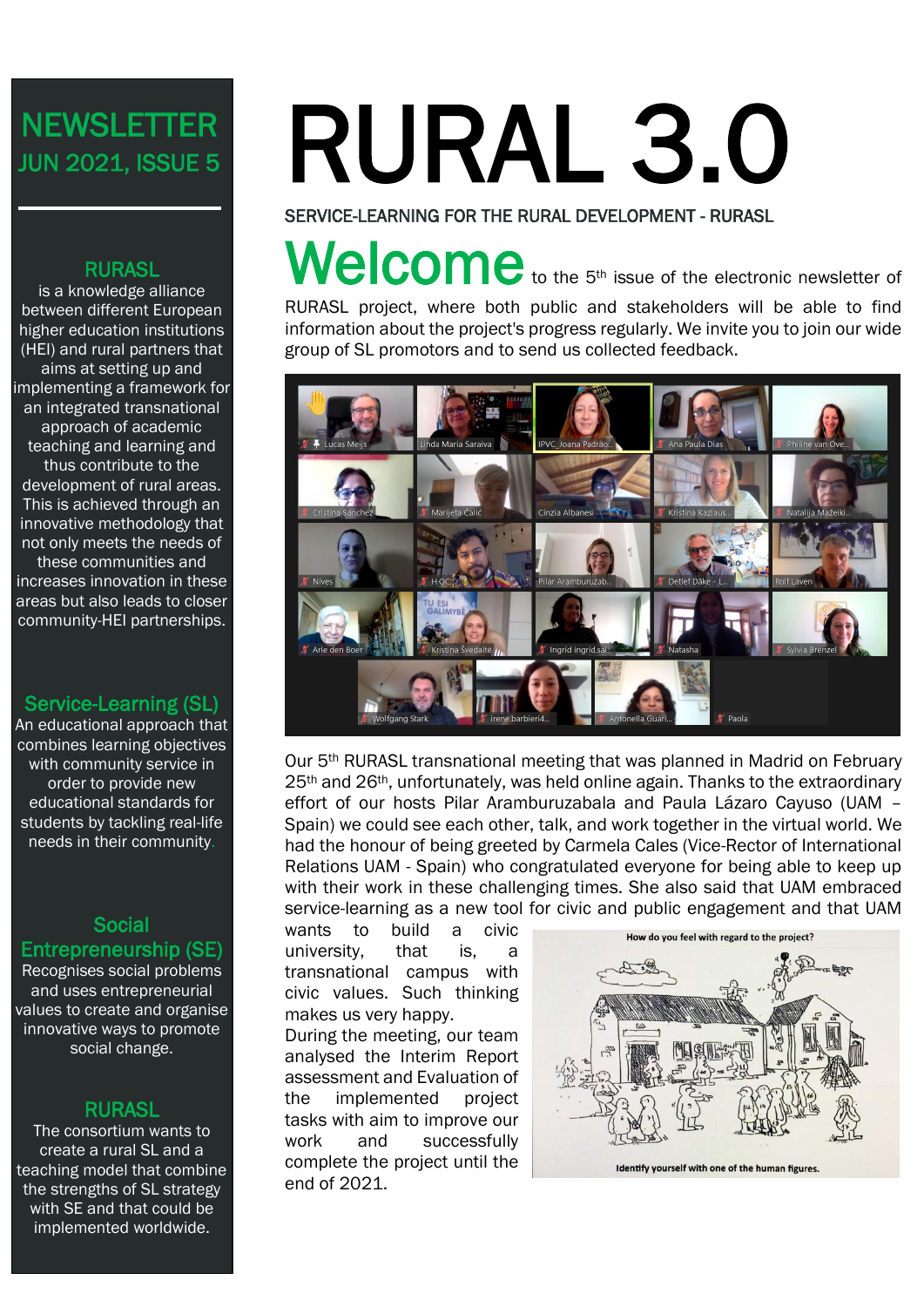# **NEWSLETTER** JUN 2021, ISSUE 5

#### RURASL

is a knowledge alliance between different European higher education institutions (HEI) and rural partners that aims at setting up and implementing a framework for an integrated transnational approach of academic teaching and learning and thus contribute to the development of rural areas. This is achieved through an innovative methodology that not only meets the needs of these communities and increases innovation in these areas but also leads to closer community-HEI partnerships.

#### Service-Learning (SL)

An educational approach that combines learning objectives with community service in order to provide new educational standards for students by tackling real-life needs in their community.

#### **Social** Entrepreneurship (SE)

Recognises social problems and uses entrepreneurial values to create and organise innovative ways to promote social change.

#### **RURASL**

The consortium wants to create a rural SL and a teaching model that combine the strengths of SL strategy with SE and that could be implemented worldwide.

# RURAL 3.0

SERVICE-LEARNING FOR THE RURAL DEVELOPMENT - RURASL

# Welcome to the 5<sup>th</sup> issue of the electronic newsletter of

RURASL project, where both public and stakeholders will be able to find information about the project's progress regularly. We invite you to join our wide group of SL promotors and to send us collected feedback.



Our 5th RURASL transnational meeting that was planned in Madrid on February 25<sup>th</sup> and 26<sup>th</sup>, unfortunately, was held online again. Thanks to the extraordinary effort of our hosts Pilar Aramburuzabala and Paula Lázaro Cayuso (UAM – Spain) we could see each other, talk, and work together in the virtual world. We had the honour of being greeted by Carmela Cales (Vice-Rector of International Relations UAM - Spain) who congratulated everyone for being able to keep up with their work in these challenging times. She also said that UAM embraced service-learning as a new tool for civic and public engagement and that UAM

wants to build a civic university, that is, a transnational campus with civic values. Such thinking makes us very happy.

During the meeting, our team analysed the Interim Report assessment and Evaluation of the implemented project tasks with aim to improve our work and successfully complete the project until the end of 2021.

![](_page_0_Picture_17.jpeg)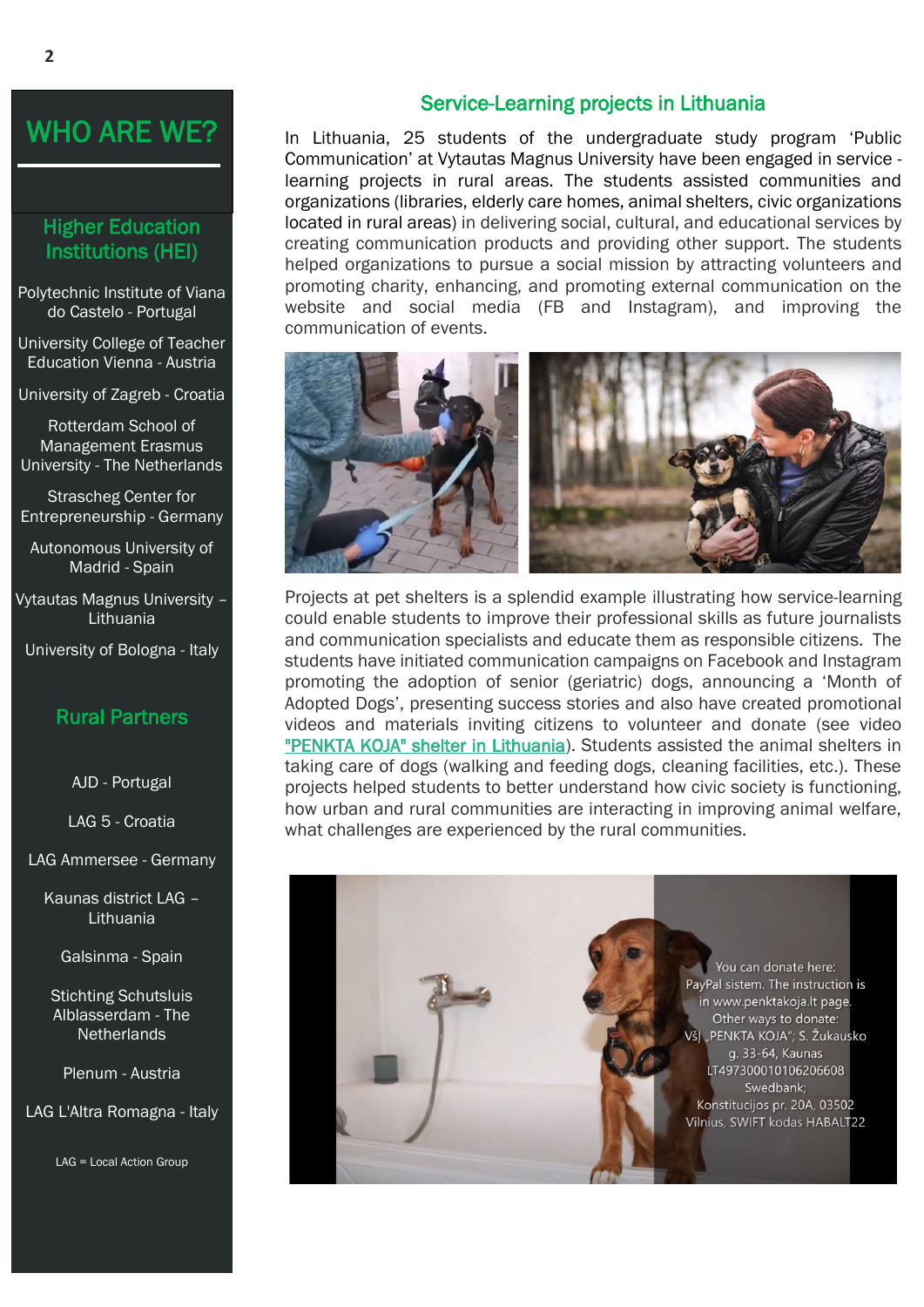## WHO ARE WE?

#### Higher Education Institutions (HEI)

Polytechnic Institute of Viana do Castelo - Portugal

University College of Teacher Education Vienna - Austria

University of Zagreb - Croatia

Rotterdam School of Management Erasmus University - The Netherlands

Strascheg Center for Entrepreneurship - Germany

Autonomous University of Madrid - Spain

Vytautas Magnus University – Lithuania

University of Bologna - Italy

#### Rural Partners

AJD - Portugal

LAG 5 - Croatia

LAG Ammersee - Germany

Kaunas district LAG – Lithuania

Galsinma - Spain

Stichting Schutsluis Alblasserdam - The **Netherlands** 

Plenum - Austria

LAG L'Altra Romagna - Italy

LAG = Local Action Group

#### Service-Learning projects in Lithuania

In Lithuania, 25 students of the undergraduate study program 'Public Communication' at Vytautas Magnus University have been engaged in service learning projects in rural areas. The students assisted communities and organizations (libraries, elderly care homes, animal shelters, civic organizations located in rural areas) in delivering social, cultural, and educational services by creating communication products and providing other support. The students helped organizations to pursue a social mission by attracting volunteers and promoting charity, enhancing, and promoting external communication on the website and social media (FB and Instagram), and improving the communication of events.

![](_page_1_Picture_22.jpeg)

Projects at pet shelters is a splendid example illustrating how service-learning could enable students to improve their professional skills as future journalists and communication specialists and educate them as responsible citizens. The students have initiated communication campaigns on Facebook and Instagram promoting the adoption of senior (geriatric) dogs, announcing a 'Month of Adopted Dogs', presenting success stories and also have created promotional videos and materials inviting citizens to volunteer and donate (see video ["PENKTA KOJA" shelter in Lithuania\)](https://www.youtube.com/watch?v=RkVP8dlhTvg). Students assisted the animal shelters in taking care of dogs (walking and feeding dogs, cleaning facilities, etc.). These projects helped students to better understand how civic society is functioning, how urban and rural communities are interacting in improving animal welfare, what challenges are experienced by the rural communities.

> You can donate here: PayPal sistem. The instruction is in www.penktakoja.lt page Other ways to donate: VšJ "PENKTA KOJA"; S. Žukausko g. 33-64, Kaunas LT497300010106206608 Swedbank; Konstitucijos pr. 20A, 03502 Vilnius, SWIFT kodas HABALT22

> > $\overline{\phantom{a}}$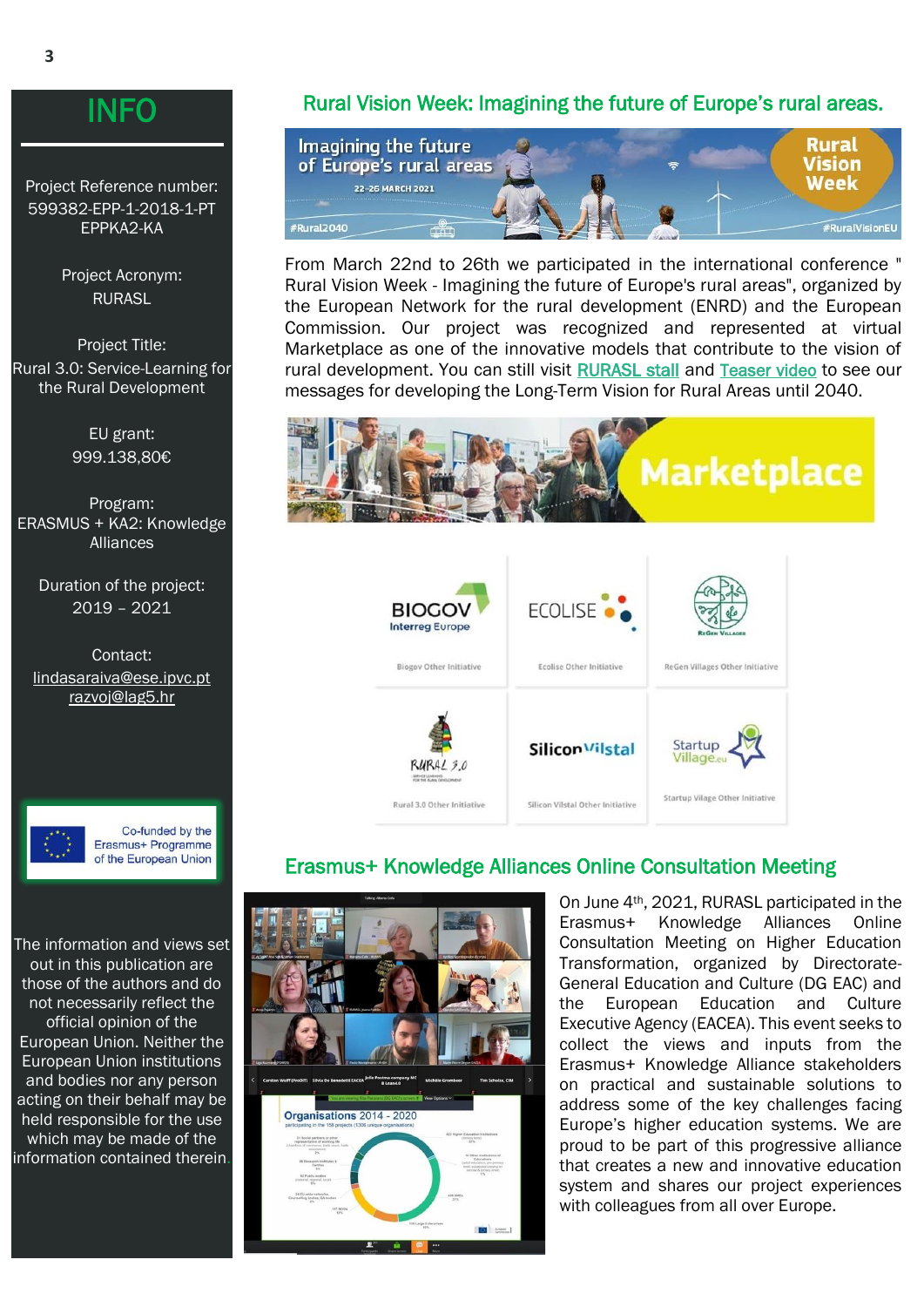### **INFO**

Project Reference number: 599382-EPP-1-2018-1-PT EPPKA2-KA

> Project Acronym: RURASL

Project Title: Rural 3.0: Service-Learning for the Rural Development

> EU grant: 999.138,80€

Program: ERASMUS + KA2: Knowledge **Alliances** 

> Duration of the project: 2019 – 2021

Contact: lindasaraiva@ese.ipvc.pt [razvoj@lag5.hr](mailto:razvoj@lag5.hr)

![](_page_2_Picture_8.jpeg)

Co-funded by the Erasmus+ Programme of the European Union

The information and views set out in this publication are those of the authors and do not necessarily reflect the official opinion of the European Union. Neither the European Union institutions and bodies nor any person acting on their behalf may be held responsible for the use which may be made of the information contained therein.

#### Rural Vision Week: Imagining the future of Europe's rural areas.

![](_page_2_Picture_12.jpeg)

From March 22nd to 26th we participated in the international conference " Rural Vision Week - Imagining the future of Europe's rural areas", organized by the European Network for the rural development (ENRD) and the European Commission. Our project was recognized and represented at virtual Marketplace as one of the innovative models that contribute to the vision of rural development. You can still visit [RURASL stall](https://enrd.ec.europa.eu/news-events/events/rural2040-vision-week/our-rural-marketplace/other-initiatives-category/rural3.0_en) and [Teaser video](https://www.youtube.com/watch?v=kD_BGcYkb5Q) to see our messages for developing the Long-Term Vision for Rural Areas until 2040.

![](_page_2_Picture_14.jpeg)

#### Erasmus+ Knowledge Alliances Online Consultation Meeting

Silicon Vilstal Other Initiative

![](_page_2_Picture_16.jpeg)

**Rural 3.0 Other Initiative** 

On June 4th, 2021, RURASL participated in the Erasmus+ Knowledge Alliances Online Consultation Meeting on Higher Education Transformation, organized by Directorate-General Education and Culture (DG EAC) and the European Education and Culture Executive Agency (EACEA). This event seeks to collect the views and inputs from the Erasmus+ Knowledge Alliance stakeholders on practical and sustainable solutions to address some of the key challenges facing Europe's higher education systems. We are proud to be part of this progressive alliance that creates a new and innovative education system and shares our project experiences with colleagues from all over Europe.

Startup Vilage Other Initiative